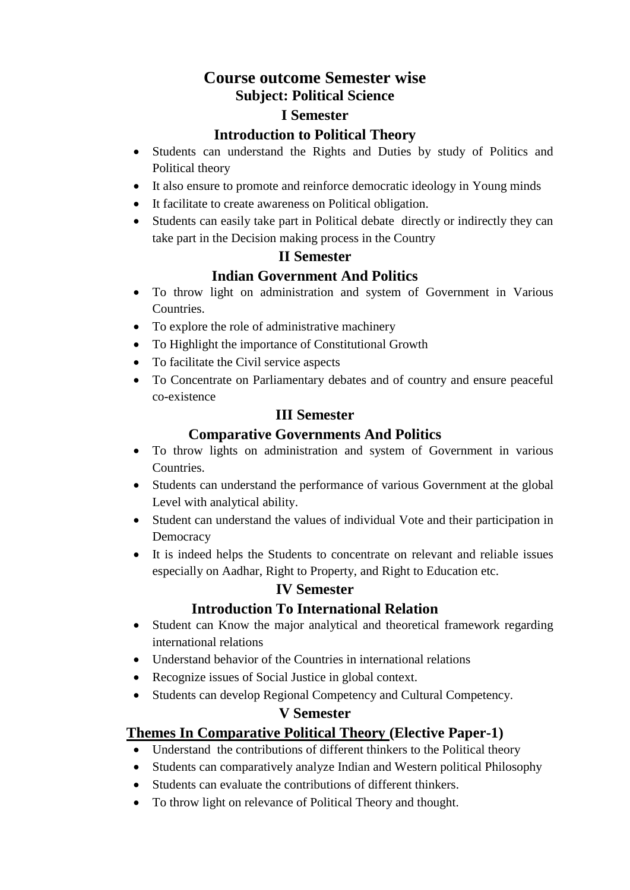# **Course outcome Semester wise Subject: Political Science**

#### **I Semester**

### **Introduction to Political Theory**

- Students can understand the Rights and Duties by study of Politics and Political theory
- It also ensure to promote and reinforce democratic ideology in Young minds
- It facilitate to create awareness on Political obligation.
- Students can easily take part in Political debate directly or indirectly they can take part in the Decision making process in the Country

#### **II Semester**

# **Indian Government And Politics**

- To throw light on administration and system of Government in Various Countries.
- To explore the role of administrative machinery
- To Highlight the importance of Constitutional Growth
- To facilitate the Civil service aspects
- To Concentrate on Parliamentary debates and of country and ensure peaceful co-existence

### **III Semester**

# **Comparative Governments And Politics**

- To throw lights on administration and system of Government in various Countries.
- Students can understand the performance of various Government at the global Level with analytical ability.
- Student can understand the values of individual Vote and their participation in Democracy
- It is indeed helps the Students to concentrate on relevant and reliable issues especially on Aadhar, Right to Property, and Right to Education etc.

#### **IV Semester**

# **Introduction To International Relation**

- Student can Know the major analytical and theoretical framework regarding international relations
- Understand behavior of the Countries in international relations
- Recognize issues of Social Justice in global context.
- Students can develop Regional Competency and Cultural Competency.

#### **V Semester**

#### **Themes In Comparative Political Theory (Elective Paper-1)**

- Understand the contributions of different thinkers to the Political theory
- Students can comparatively analyze Indian and Western political Philosophy
- Students can evaluate the contributions of different thinkers.
- To throw light on relevance of Political Theory and thought.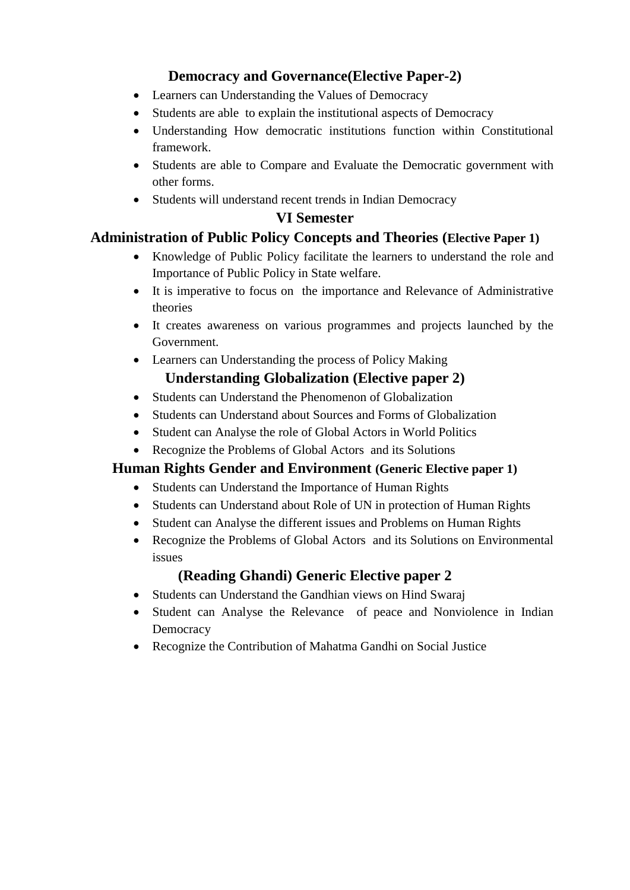# **Democracy and Governance(Elective Paper-2)**

- Learners can Understanding the Values of Democracy
- Students are able to explain the institutional aspects of Democracy
- Understanding How democratic institutions function within Constitutional framework.
- Students are able to Compare and Evaluate the Democratic government with other forms.
- Students will understand recent trends in Indian Democracy

# **VI Semester**

# **Administration of Public Policy Concepts and Theories (Elective Paper 1)**

- Knowledge of Public Policy facilitate the learners to understand the role and Importance of Public Policy in State welfare.
- It is imperative to focus on the importance and Relevance of Administrative theories
- It creates awareness on various programmes and projects launched by the Government.
- Learners can Understanding the process of Policy Making **Understanding Globalization (Elective paper 2)**
- Students can Understand the Phenomenon of Globalization
- Students can Understand about Sources and Forms of Globalization
- Student can Analyse the role of Global Actors in World Politics
- Recognize the Problems of Global Actors and its Solutions

# **Human Rights Gender and Environment (Generic Elective paper 1)**

- Students can Understand the Importance of Human Rights
- Students can Understand about Role of UN in protection of Human Rights
- Student can Analyse the different issues and Problems on Human Rights
- Recognize the Problems of Global Actors and its Solutions on Environmental issues

# **(Reading Ghandi) Generic Elective paper 2**

- Students can Understand the Gandhian views on Hind Swaraj
- Student can Analyse the Relevance of peace and Nonviolence in Indian **Democracy**
- Recognize the Contribution of Mahatma Gandhi on Social Justice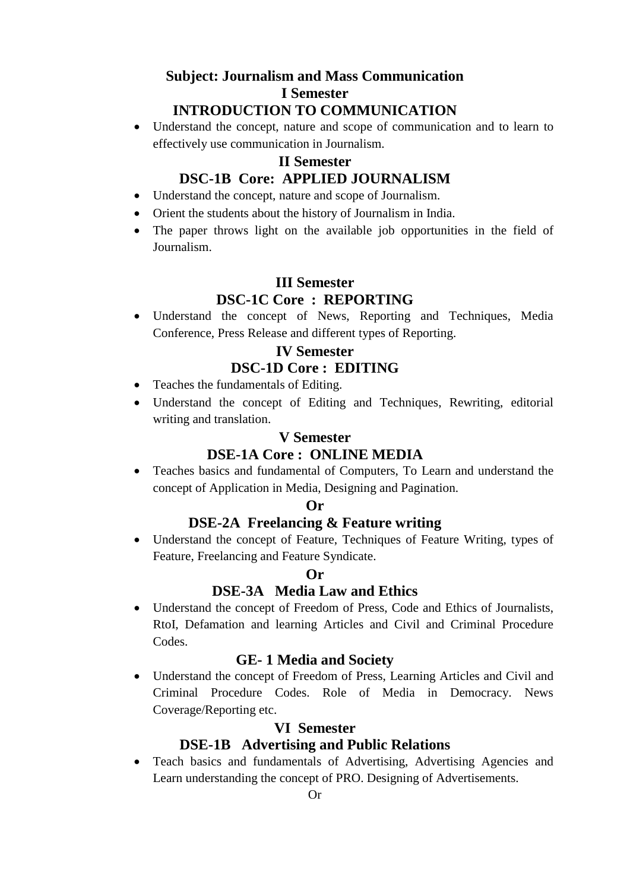#### **Subject: Journalism and Mass Communication I Semester INTRODUCTION TO COMMUNICATION**

 Understand the concept, nature and scope of communication and to learn to effectively use communication in Journalism.

#### **II Semester**

## **DSC-1B Core: APPLIED JOURNALISM**

- Understand the concept, nature and scope of Journalism.
- Orient the students about the history of Journalism in India.
- The paper throws light on the available job opportunities in the field of Journalism.

# **III Semester DSC-1C Core : REPORTING**

 Understand the concept of News, Reporting and Techniques, Media Conference, Press Release and different types of Reporting.

# **IV Semester**

- **DSC-1D Core : EDITING**
- Teaches the fundamentals of Editing.
- Understand the concept of Editing and Techniques, Rewriting, editorial writing and translation.

#### **V Semester**

#### **DSE-1A Core : ONLINE MEDIA**

 Teaches basics and fundamental of Computers, To Learn and understand the concept of Application in Media, Designing and Pagination.

#### **Or**

#### **DSE-2A Freelancing & Feature writing**

 Understand the concept of Feature, Techniques of Feature Writing, types of Feature, Freelancing and Feature Syndicate.

#### **Or**

#### **DSE-3A Media Law and Ethics**

 Understand the concept of Freedom of Press, Code and Ethics of Journalists, RtoI, Defamation and learning Articles and Civil and Criminal Procedure Codes.

#### **GE- 1 Media and Society**

 Understand the concept of Freedom of Press, Learning Articles and Civil and Criminal Procedure Codes. Role of Media in Democracy. News Coverage/Reporting etc.

#### **VI Semester**

#### **DSE-1B Advertising and Public Relations**

 Teach basics and fundamentals of Advertising, Advertising Agencies and Learn understanding the concept of PRO. Designing of Advertisements.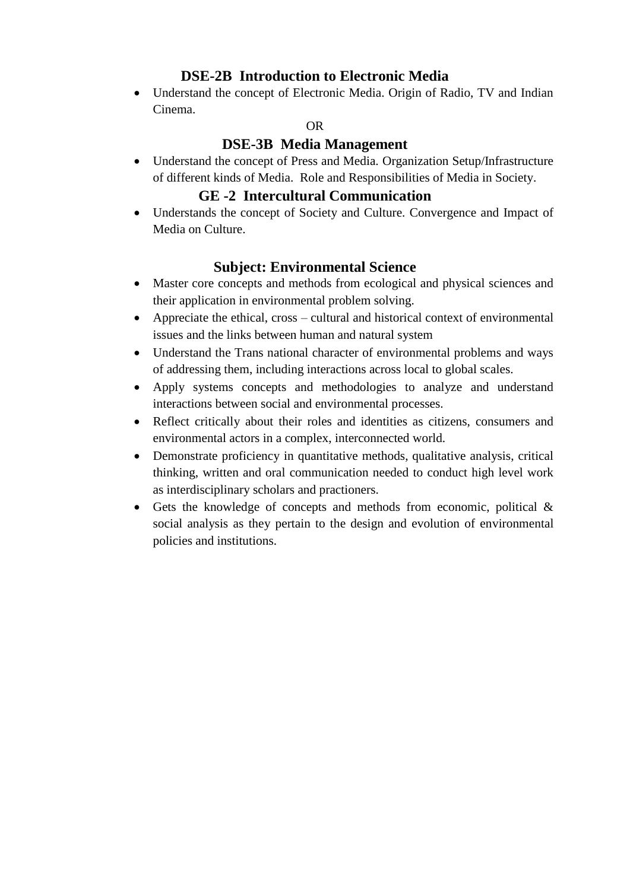# **DSE-2B Introduction to Electronic Media**

 Understand the concept of Electronic Media. Origin of Radio, TV and Indian Cinema.

#### OR

#### **DSE-3B Media Management**

 Understand the concept of Press and Media. Organization Setup/Infrastructure of different kinds of Media. Role and Responsibilities of Media in Society.

#### **GE -2 Intercultural Communication**

 Understands the concept of Society and Culture. Convergence and Impact of Media on Culture.

### **Subject: Environmental Science**

- Master core concepts and methods from ecological and physical sciences and their application in environmental problem solving.
- Appreciate the ethical, cross cultural and historical context of environmental issues and the links between human and natural system
- Understand the Trans national character of environmental problems and ways of addressing them, including interactions across local to global scales.
- Apply systems concepts and methodologies to analyze and understand interactions between social and environmental processes.
- Reflect critically about their roles and identities as citizens, consumers and environmental actors in a complex, interconnected world.
- Demonstrate proficiency in quantitative methods, qualitative analysis, critical thinking, written and oral communication needed to conduct high level work as interdisciplinary scholars and practioners.
- Gets the knowledge of concepts and methods from economic, political  $\&$ social analysis as they pertain to the design and evolution of environmental policies and institutions.